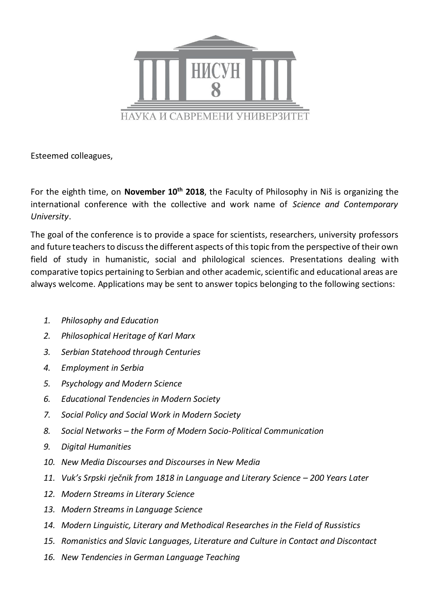

Esteemed colleagues,

For the eighth time, on **November 10th 2018**, the Faculty of Philosophy in Niš is organizing the international conference with the collective and work name of *Science and Contemporary University*.

The goal of the conference is to provide a space for scientists, researchers, university professors and future teachers to discuss the different aspects of this topic from the perspective of their own field of study in humanistic, social and philological sciences. Presentations dealing with comparative topics pertaining to Serbian and other academic, scientific and educational areas are always welcome. Applications may be sent to answer topics belonging to the following sections:

- *1. Philosophy and Education*
- *2. Philosophical Heritage of Karl Marx*
- *3. Serbian Statehood through Centuries*
- *4. Employment in Serbia*
- *5. Psychology and Modern Science*
- *6. Educational Tendencies in Modern Society*
- *7. Social Policy and Social Work in Modern Society*
- *8. Social Networks – the Form of Modern Socio-Political Communication*
- *9. Digital Humanities*
- *10. New Media Discourses and Discourses in New Media*
- *11. Vuk's Srpski rječnik from 1818 in Language and Literary Science – 200 Years Later*
- *12. Modern Streams in Literary Science*
- *13. Modern Streams in Language Science*
- *14. Modern Linguistic, Literary and Methodical Researches in the Field of Russistics*
- *15. Romanistics and Slavic Languages, Literature and Culture in Contact and Discontact*
- *16. New Tendencies in German Language Teaching*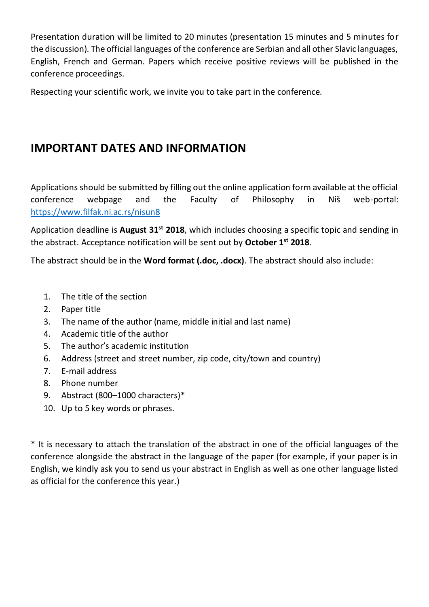Presentation duration will be limited to 20 minutes (presentation 15 minutes and 5 minutes for the discussion). The official languages of the conference are Serbian and all other Slavic languages, English, French and German. Papers which receive positive reviews will be published in the conference proceedings.

Respecting your scientific work, we invite you to take part in the conference.

## **IMPORTANT DATES AND INFORMATION**

Applications should be submitted by filling out the online application form available at the official conference webpage and the Faculty of Philosophy in Niš web-portal: <https://www.filfak.ni.ac.rs/nisun8>

Application deadline is **August 31st 2018**, which includes choosing a specific topic and sending in the abstract. Acceptance notification will be sent out by **October 1st 2018**.

The abstract should be in the **Word format (.doc, .docx)**. The abstract should also include:

- 1. The title of the section
- 2. Paper title
- 3. The name of the author (name, middle initial and last name)
- 4. Academic title of the author
- 5. The author's academic institution
- 6. Address (street and street number, zip code, city/town and country)
- 7. E-mail address
- 8. Phone number
- 9. Abstract (800–1000 characters)\*
- 10. Up to 5 key words or phrases.

\* It is necessary to attach the translation of the abstract in one of the official languages of the conference alongside the abstract in the language of the paper (for example, if your paper is in English, we kindly ask you to send us your abstract in English as well as one other language listed as official for the conference this year.)